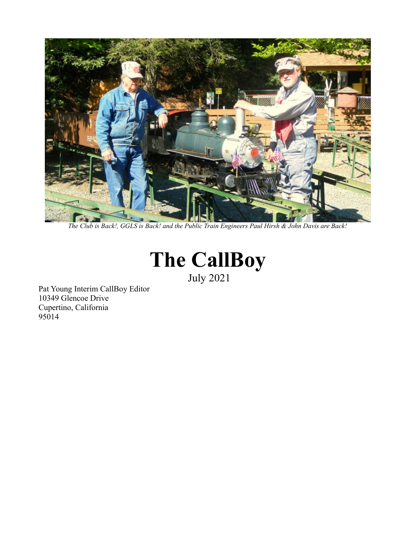

*The Club is Back!, GGLS is Back! and the Public Train Engineers Paul Hirsh & John Davis are Back!*



Pat Young Interim CallBoy Editor 10349 Glencoe Drive Cupertino, California 95014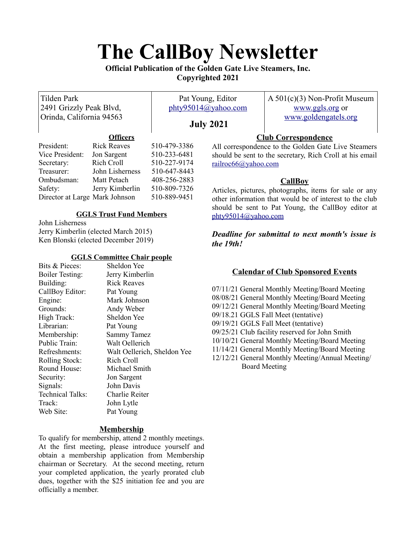# **The CallBoy Newsletter**

**Official Publication of the Golden Gate Live Steamers, Inc. Copyrighted 2021**

| Tilden Park<br>2491 Grizzly Peak Blvd,<br>Orinda, California 94563 |                    | Pat Young, Editor<br>phty95014@yahoo.com<br><b>July 2021</b> |                                                          | $A 501(c)(3)$ Non-Profit Museum<br>www.ggls.org or<br>www.goldengatels.org |
|--------------------------------------------------------------------|--------------------|--------------------------------------------------------------|----------------------------------------------------------|----------------------------------------------------------------------------|
|                                                                    | <b>Officers</b>    |                                                              |                                                          | <b>Club Correspondence</b>                                                 |
| President:                                                         | <b>Rick Reaves</b> | 510-479-3386                                                 |                                                          | All correspondence to the Golden Gate Live Steamers                        |
| Vice President:                                                    | Jon Sargent        | 510-233-6481                                                 | should be sent to the secretary, Rich Croll at his email |                                                                            |
| Secretary:                                                         | Rich Croll         | 510-227-9174                                                 | railroc66@yahoo.com                                      |                                                                            |
| $T$ reasurer $\cdot$                                               | John Lisherness    | 510-647-8443                                                 |                                                          |                                                                            |

## **CallBoy**

Articles, pictures, photographs, items for sale or any other information that would be of interest to the club should be sent to Pat Young, the CallBoy editor at [phty95014@yahoo.com](mailto:phty95014@yahoo.com)

## *Deadline for submittal to next month's issue is the 19th!*

# **Calendar of Club Sponsored Events**

07/11/21 General Monthly Meeting/Board Meeting 08/08/21 General Monthly Meeting/Board Meeting 09/12/21 General Monthly Meeting/Board Meeting 09/18.21 GGLS Fall Meet (tentative) 09/19/21 GGLS Fall Meet (tentative) 09/25/21 Club facility reserved for John Smith 10/10/21 General Monthly Meeting/Board Meeting 11/14/21 General Monthly Meeting/Board Meeting 12/12/21 General Monthly Meeting/Annual Meeting/ Board Meeting

| Vice President:                | Jon Sargent     | 510-233-6481 |
|--------------------------------|-----------------|--------------|
| Secretary:                     | Rich Croll      | 510-227-9174 |
| Treasurer:                     | John Lisherness | 510-647-8443 |
| Ombudsman:                     | Matt Petach     | 408-256-2883 |
| Safety:                        | Jerry Kimberlin | 510-809-7326 |
| Director at Large Mark Johnson |                 | 510-889-9451 |
|                                |                 |              |

# **GGLS Trust Fund Members**

John Lisherness Jerry Kimberlin (elected March 2015) Ken Blonski (elected December 2019)

# **GGLS Committee Chair people**

| Bits & Pieces:          | Sheldon Yee                 |
|-------------------------|-----------------------------|
| <b>Boiler Testing:</b>  | Jerry Kimberlin             |
| Building:               | <b>Rick Reaves</b>          |
| CallBoy Editor:         | Pat Young                   |
| Engine:                 | Mark Johnson                |
| Grounds:                | Andy Weber                  |
| High Track:             | Sheldon Yee                 |
| Librarian:              | Pat Young                   |
| Membership:             | <b>Sammy Tamez</b>          |
| Public Train:           | Walt Oellerich              |
| Refreshments:           | Walt Oellerich, Sheldon Yee |
| Rolling Stock:          | Rich Croll                  |
| Round House:            | Michael Smith               |
| Security:               | Jon Sargent                 |
| Signals:                | John Davis                  |
| <b>Technical Talks:</b> | Charlie Reiter              |
| Track:                  | John Lytle                  |
| Web Site:               | Pat Young                   |
|                         |                             |

# **Membership**

To qualify for membership, attend 2 monthly meetings. At the first meeting, please introduce yourself and obtain a membership application from Membership chairman or Secretary. At the second meeting, return your completed application, the yearly prorated club dues, together with the \$25 initiation fee and you are officially a member.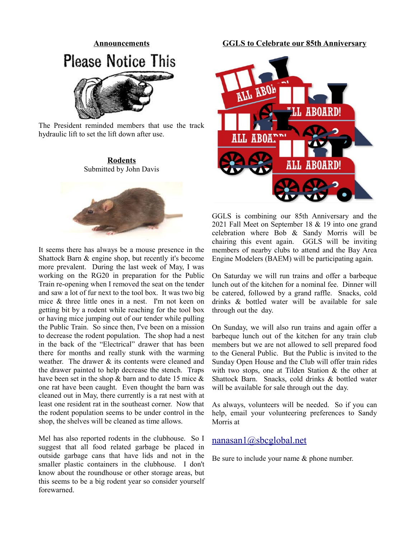

The President reminded members that use the track hydraulic lift to set the lift down after use.

**Rodents** Submitted by John Davis



It seems there has always be a mouse presence in the Shattock Barn & engine shop, but recently it's become more prevalent. During the last week of May, I was working on the RG20 in preparation for the Public Train re-opening when I removed the seat on the tender and saw a lot of fur next to the tool box. It was two big mice & three little ones in a nest. I'm not keen on getting bit by a rodent while reaching for the tool box or having mice jumping out of our tender while pulling the Public Train. So since then, I've been on a mission to decrease the rodent population. The shop had a nest in the back of the "Electrical" drawer that has been there for months and really stunk with the warming weather. The drawer & its contents were cleaned and the drawer painted to help decrease the stench. Traps have been set in the shop & barn and to date 15 mice & one rat have been caught. Even thought the barn was cleaned out in May, there currently is a rat nest with at least one resident rat in the southeast corner. Now that the rodent population seems to be under control in the shop, the shelves will be cleaned as time allows.

Mel has also reported rodents in the clubhouse. So I suggest that all food related garbage be placed in outside garbage cans that have lids and not in the smaller plastic containers in the clubhouse. I don't know about the roundhouse or other storage areas, but this seems to be a big rodent year so consider yourself forewarned.

# **GGLS to Celebrate our 85th Anniversary**



GGLS is combining our 85th Anniversary and the 2021 Fall Meet on September 18 & 19 into one grand celebration where Bob & Sandy Morris will be chairing this event again. GGLS will be inviting members of nearby clubs to attend and the Bay Area Engine Modelers (BAEM) will be participating again.

On Saturday we will run trains and offer a barbeque lunch out of the kitchen for a nominal fee. Dinner will be catered, followed by a grand raffle. Snacks, cold drinks & bottled water will be available for sale through out the day.

On Sunday, we will also run trains and again offer a barbeque lunch out of the kitchen for any train club members but we are not allowed to sell prepared food to the General Public. But the Public is invited to the Sunday Open House and the Club will offer train rides with two stops, one at Tilden Station & the other at Shattock Barn. Snacks, cold drinks & bottled water will be available for sale through out the day.

As always, volunteers will be needed. So if you can help, email your volunteering preferences to Sandy Morris at

# [nanasan1@sbcglobal.net](mailto:nanasan1@sbcglobal.net)

Be sure to include your name & phone number.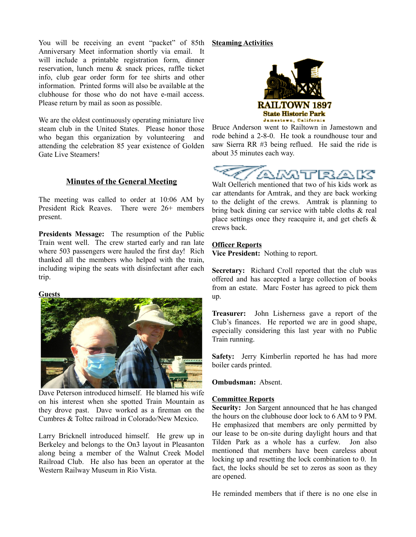You will be receiving an event "packet" of 85th Anniversary Meet information shortly via email. It will include a printable registration form, dinner reservation, lunch menu & snack prices, raffle ticket info, club gear order form for tee shirts and other information. Printed forms will also be available at the clubhouse for those who do not have e-mail access. Please return by mail as soon as possible.

We are the oldest continuously operating miniature live steam club in the United States. Please honor those who began this organization by volunteering and attending the celebration 85 year existence of Golden Gate Live Steamers!

## **Minutes of the General Meeting**

The meeting was called to order at 10:06 AM by President Rick Reaves. There were 26+ members present.

**Presidents Message:** The resumption of the Public Train went well. The crew started early and ran late where 503 passengers were hauled the first day! Rich thanked all the members who helped with the train, including wiping the seats with disinfectant after each trip.

#### **Guests**



Dave Peterson introduced himself. He blamed his wife on his interest when she spotted Train Mountain as they drove past. Dave worked as a fireman on the Cumbres & Toltec railroad in Colorado/New Mexico.

Larry Bricknell introduced himself. He grew up in Berkeley and belongs to the On3 layout in Pleasanton along being a member of the Walnut Creek Model Railroad Club. He also has been an operator at the Western Railway Museum in Rio Vista.

#### **Steaming Activities**



Bruce Anderson went to Railtown in Jamestown and rode behind a 2-8-0. He took a roundhouse tour and saw Sierra RR #3 being reflued. He said the ride is about 35 minutes each way.



Walt Oellerich mentioned that two of his kids work as car attendants for Amtrak, and they are back working to the delight of the crews. Amtrak is planning to bring back dining car service with table cloths & real place settings once they reacquire it, and get chefs & crews back.

#### **Officer Reports**

**Vice President:** Nothing to report.

**Secretary:** Richard Croll reported that the club was offered and has accepted a large collection of books from an estate. Marc Foster has agreed to pick them up.

**Treasurer:** John Lisherness gave a report of the Club's finances. He reported we are in good shape, especially considering this last year with no Public Train running.

**Safety:** Jerry Kimberlin reported he has had more boiler cards printed.

**Ombudsman:** Absent.

## **Committee Reports**

**Security:** Jon Sargent announced that he has changed the hours on the clubhouse door lock to 6 AM to 9 PM. He emphasized that members are only permitted by our lease to be on-site during daylight hours and that Tilden Park as a whole has a curfew. Jon also mentioned that members have been careless about locking up and resetting the lock combination to 0. In fact, the locks should be set to zeros as soon as they are opened.

He reminded members that if there is no one else in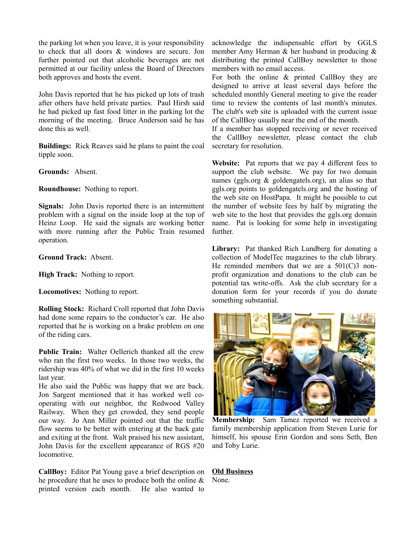the parking lot when you leave, it is your responsibility to check that all doors & windows are secure. Jon further pointed out that alcoholic beverages are not permitted at our facility unless the Board of Directors both approves and hosts the event.

John Davis reported that he has picked up lots of trash after others have held private parties. Paul Hirsh said he had picked up fast food litter in the parking lot the morning of the meeting. Bruce Anderson said he has done this as well.

**Buildings:** Rick Reaves said he plans to paint the coal tipple soon.

**Grounds:** Absent.

**Roundhouse:** Nothing to report.

**Signals:** John Davis reported there is an intermittent problem with a signal on the inside loop at the top of Heinz Loop. He said the signals are working better with more running after the Public Train resumed operation.

**Ground Track:** Absent.

**High Track:** Nothing to report.

**Locomotives:** Nothing to report.

**Rolling Stock:** Richard Croll reported that John Davis had done some repairs to the conductor's car. He also reported that he is working on a brake problem on one of the riding cars.

**Public Train:** Walter Oellerich thanked all the crew who ran the first two weeks. In those two weeks, the ridership was 40% of what we did in the first 10 weeks last year.

He also said the Public was happy that we are back. Jon Sargent mentioned that it has worked well cooperating with our neighbor, the Redwood Valley Railway. When they get crowded, they send people our way. Jo Ann Miller pointed out that the traffic flow seems to be better with entering at the back gate and exiting at the front. Walt praised his new assistant, John Davis for the excellent appearance of RGS #20 locomotive.

**CallBoy:** Editor Pat Young gave a brief description on he procedure that he uses to produce both the online & printed version each month. He also wanted to

acknowledge the indispensable effort by GGLS member Amy Herman & her husband in producing & distributing the printed CallBoy newsletter to those members with no email access.

For both the online & printed CallBoy they are designed to arrive at least several days before the scheduled monthly General meeting to give the reader time to review the contents of last month's minutes. The club's web site is uploaded with the current issue of the CallBoy usually near the end of the month.

If a member has stopped receiving or never received the CallBoy newsletter, please contact the club secretary for resolution.

Website: Pat reports that we pay 4 different fees to support the club website. We pay for two domain names (ggls.org & goldengatels.org), an alias so that ggls.org points to goldengatels.org and the hosting of the web site on HostPapa. It might be possible to cut the number of website fees by half by migrating the web site to the host that provides the ggls.org domain name. Pat is looking for some help in investigating further.

**Library:** Pat thanked Rich Lundberg for donating a collection of ModelTec magazines to the club library. He reminded members that we are a  $501(C)3$  nonprofit organization and donations to the club can be potential tax write-offs. Ask the club secretary for a donation form for your records if you do donate something substantial.



**Membership:** Sam Tamez reported we received a family membership application from Steven Lurie for himself, his spouse Erin Gordon and sons Seth, Ben and Toby Lurie.

**Old Business** None.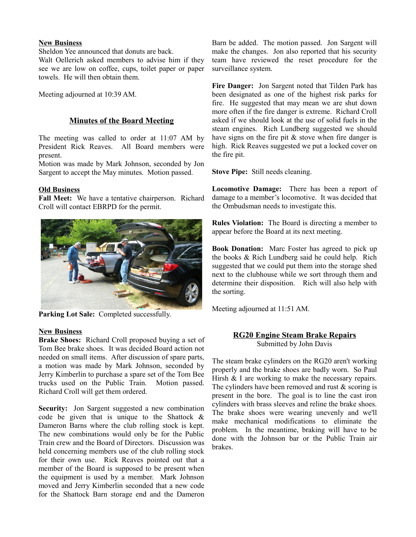#### **New Business**

Sheldon Yee announced that donuts are back.

Walt Oellerich asked members to advise him if they see we are low on coffee, cups, toilet paper or paper towels. He will then obtain them.

Meeting adjourned at 10:39 AM.

#### **Minutes of the Board Meeting**

The meeting was called to order at 11:07 AM by President Rick Reaves. All Board members were present.

Motion was made by Mark Johnson, seconded by Jon Sargent to accept the May minutes. Motion passed.

#### **Old Business**

**Fall Meet:** We have a tentative chairperson. Richard Croll will contact EBRPD for the permit.



**Parking Lot Sale:** Completed successfully.

#### **New Business**

**Brake Shoes:** Richard Croll proposed buying a set of Tom Bee brake shoes. It was decided Board action not needed on small items. After discussion of spare parts, a motion was made by Mark Johnson, seconded by Jerry Kimberlin to purchase a spare set of the Tom Bee trucks used on the Public Train. Motion passed. Richard Croll will get them ordered.

**Security:** Jon Sargent suggested a new combination code be given that is unique to the Shattock & Dameron Barns where the club rolling stock is kept. The new combinations would only be for the Public Train crew and the Board of Directors. Discussion was held concerning members use of the club rolling stock for their own use. Rick Reaves pointed out that a member of the Board is supposed to be present when the equipment is used by a member. Mark Johnson moved and Jerry Kimberlin seconded that a new code for the Shattock Barn storage end and the Dameron

Barn be added. The motion passed. Jon Sargent will make the changes. Jon also reported that his security team have reviewed the reset procedure for the surveillance system.

**Fire Danger:** Jon Sargent noted that Tilden Park has been designated as one of the highest risk parks for fire. He suggested that may mean we are shut down more often if the fire danger is extreme. Richard Croll asked if we should look at the use of solid fuels in the steam engines. Rich Lundberg suggested we should have signs on the fire pit & stove when fire danger is high. Rick Reaves suggested we put a locked cover on the fire pit.

**Stove Pipe:** Still needs cleaning.

**Locomotive Damage:** There has been a report of damage to a member's locomotive. It was decided that the Ombudsman needs to investigate this.

**Rules Violation:** The Board is directing a member to appear before the Board at its next meeting.

**Book Donation:** Marc Foster has agreed to pick up the books & Rich Lundberg said he could help. Rich suggested that we could put them into the storage shed next to the clubhouse while we sort through them and determine their disposition. Rich will also help with the sorting.

Meeting adjourned at 11:51 AM.

#### **RG20 Engine Steam Brake Repairs**

Submitted by John Davis

The steam brake cylinders on the RG20 aren't working properly and the brake shoes are badly worn. So Paul Hirsh & I are working to make the necessary repairs. The cylinders have been removed and rust  $\&$  scoring is present in the bore. The goal is to line the cast iron cylinders with brass sleeves and reline the brake shoes. The brake shoes were wearing unevenly and we'll make mechanical modifications to eliminate the problem. In the meantime, braking will have to be done with the Johnson bar or the Public Train air brakes.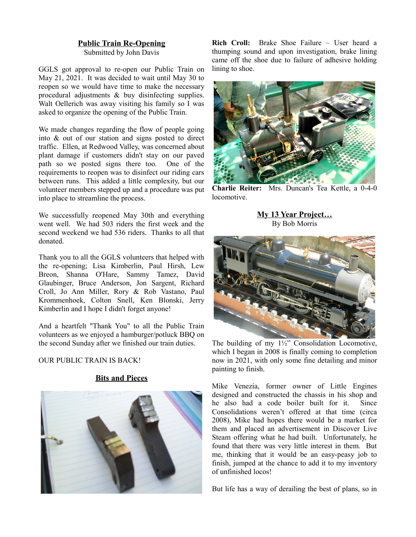## **Public Train Re-Opening**

Submitted by John Davis

GGLS got approval to re-open our Public Train on May 21, 2021. It was decided to wait until May 30 to reopen so we would have time to make the necessary procedural adjustments & buy disinfecting supplies. Walt Oellerich was away visiting his family so I was asked to organize the opening of the Public Train.

We made changes regarding the flow of people going into & out of our station and signs posted to direct traffic. Ellen, at Redwood Valley, was concerned about plant damage if customers didn't stay on our paved path so we posted signs there too. One of the requirements to reopen was to disinfect our riding cars between runs. This added a little complexity, but our volunteer members stepped up and a procedure was put into place to streamline the process.

We successfully reopened May 30th and everything went well. We had 503 riders the first week and the second weekend we had 536 riders. Thanks to all that donated.

Thank you to all the GGLS volunteers that helped with the re-opening; Lisa Kimberlin, Paul Hirsh, Lew Breon, Shanna O'Hare, Sammy Tamez, David Glaubinger, Bruce Anderson, Jon Sargent, Richard Croll, Jo Ann Miller, Rory & Rob Vastano, Paul Krommenhoek, Colton Snell, Ken Blonski, Jerry Kimberlin and I hope I didn't forget anyone!

And a heartfelt "Thank You" to all the Public Train volunteers as we enjoyed a hamburger/potluck BBQ on the second Sunday after we finished our train duties.

## OUR PUBLIC TRAIN IS BACK!

#### **Bits and Pieces**



**Rich Croll:** Brake Shoe Failure – User heard a thumping sound and upon investigation, brake lining came off the shoe due to failure of adhesive holding lining to shoe.



**Charlie Reiter:** Mrs. Duncan's Tea Kettle, a 0-4-0 locomotive.

#### **My 13 Year Project…** By Bob Morris



The building of my 1½" Consolidation Locomotive, which I began in 2008 is finally coming to completion now in 2021, with only some fine detailing and minor painting to finish.

Mike Venezia, former owner of Little Engines designed and constructed the chassis in his shop and he also had a code boiler built for it. Since Consolidations weren't offered at that time (circa 2008), Mike had hopes there would be a market for them and placed an advertisement in Discover Live Steam offering what he had built. Unfortunately, he found that there was very little interest in them. But me, thinking that it would be an easy-peasy job to finish, jumped at the chance to add it to my inventory of unfinished locos!

But life has a way of derailing the best of plans, so in